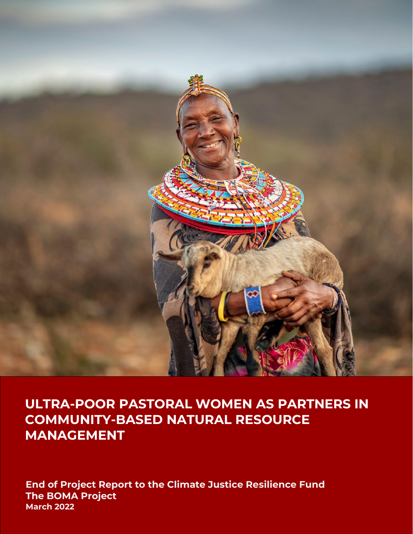

# **ULTRA-POOR PASTORAL WOMEN AS PARTNERS IN COMMUNITY-BASED NATURAL RESOURCE MANAGEMENT**

**End of Project Report to the Climate Justice Resilience Fund The BOMA Project March 2022**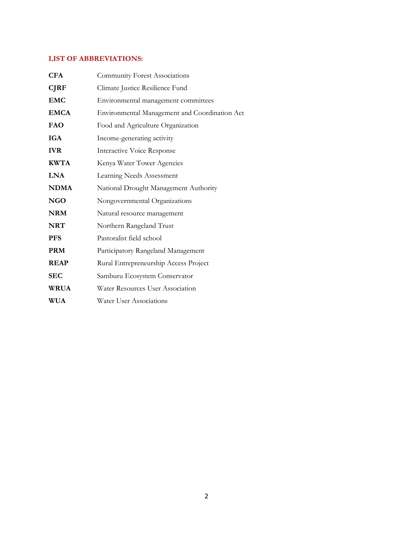# **LIST OF ABBREVIATIONS:**

| <b>CFA</b>  | <b>Community Forest Associations</b>          |
|-------------|-----------------------------------------------|
| <b>CJRF</b> | Climate Justice Resilience Fund               |
| <b>EMC</b>  | Environmental management committees           |
| <b>EMCA</b> | Environmental Management and Coordination Act |
| FAO         | Food and Agriculture Organization             |
| <b>IGA</b>  | Income-generating activity                    |
| <b>IVR</b>  | <b>Interactive Voice Response</b>             |
| <b>KWTA</b> | Kenya Water Tower Agencies                    |
| <b>LNA</b>  | Learning Needs Assessment                     |
| <b>NDMA</b> | National Drought Management Authority         |
| <b>NGO</b>  | Nongovernmental Organizations                 |
| <b>NRM</b>  | Natural resource management                   |
| <b>NRT</b>  | Northern Rangeland Trust                      |
| <b>PFS</b>  | Pastoralist field school                      |
| <b>PRM</b>  | Participatory Rangeland Management            |
| <b>REAP</b> | Rural Entrepreneurship Access Project         |
| <b>SEC</b>  | Samburu Ecosystem Conservator                 |
| <b>WRUA</b> | Water Resources User Association              |
| WUA         | <b>Water User Associations</b>                |
|             |                                               |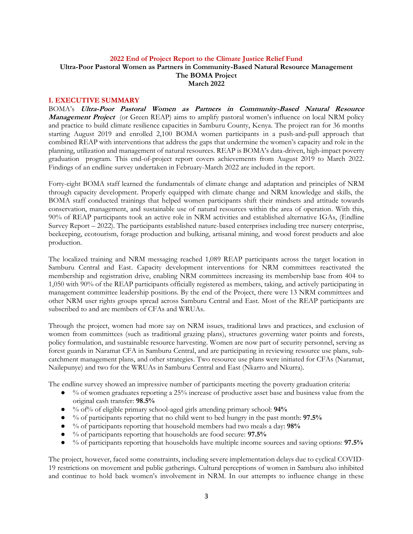## **2022 End of Project Report to the Climate Justice Relief Fund Ultra-Poor Pastoral Women as Partners in Community-Based Natural Resource Management The BOMA Project March 2022**

#### **I. EXECUTIVE SUMMARY**

BOMA's **Ultra-Poor Pastoral Women as Partners in Community-Based Natural Resource Management Project** (or Green REAP) aims to amplify pastoral women's influence on local NRM policy and practice to build climate resilience capacities in Samburu County, Kenya. The project ran for 36 months starting August 2019 and enrolled 2,100 BOMA women participants in a push-and-pull approach that combined REAP with interventions that address the gaps that undermine the women's capacity and role in the planning, utilization and management of natural resources. REAP is BOMA's data-driven, high-impact poverty graduation program. This end-of-project report covers achievements from August 2019 to March 2022. Findings of an endline survey undertaken in February-March 2022 are included in the report.

Forty-eight BOMA staff learned the fundamentals of climate change and adaptation and principles of NRM through capacity development. Properly equipped with climate change and NRM knowledge and skills, the BOMA staff conducted trainings that helped women participants shift their mindsets and attitude towards conservation, management, and sustainable use of natural resources within the area of operation. With this, 90% of REAP participants took an active role in NRM activities and established alternative IGAs, (Endline Survey Report – 2022). The participants established nature-based enterprises including tree nursery enterprise, beekeeping, ecotourism, forage production and bulking, artisanal mining, and wood forest products and aloe production.

The localized training and NRM messaging reached 1,089 REAP participants across the target location in Samburu Central and East. Capacity development interventions for NRM committees reactivated the membership and registration drive, enabling NRM committees increasing its membership base from 404 to 1,050 with 90% of the REAP participants officially registered as members, taking, and actively participating in management committee leadership positions. By the end of the Project, there were 13 NRM committees and other NRM user rights groups spread across Samburu Central and East. Most of the REAP participants are subscribed to and are members of CFAs and WRUAs.

Through the project, women had more say on NRM issues, traditional laws and practices, and exclusion of women from committees (such as traditional grazing plans), structures governing water points and forests, policy formulation, and sustainable resource harvesting. Women are now part of security personnel, serving as forest guards in Naramat CFA in Samburu Central, and are participating in reviewing resource use plans, subcatchment management plans, and other strategies. Two resource use plans were initiated for CFAs (Naramat, Nailepunye) and two for the WRUAs in Samburu Central and East (Nkarro and Nkurra).

The endline survey showed an impressive number of participants meeting the poverty graduation criteria:

- $\bullet$  % of women graduates reporting a 25% increase of productive asset base and business value from the original cash transfer: **98.5%**
- % of% of eligible primary school-aged girls attending primary school: **94%**
- % of participants reporting that no child went to bed hungry in the past month: **97.5%**
- % of participants reporting that household members had two meals a day: **98%**
- % of participants reporting that households are food secure: **97.5%**
- % of participants reporting that households have multiple income sources and saving options: **97.5%**

The project, however, faced some constraints, including severe implementation delays due to cyclical COVID-19 restrictions on movement and public gatherings. Cultural perceptions of women in Samburu also inhibited and continue to hold back women's involvement in NRM. In our attempts to influence change in these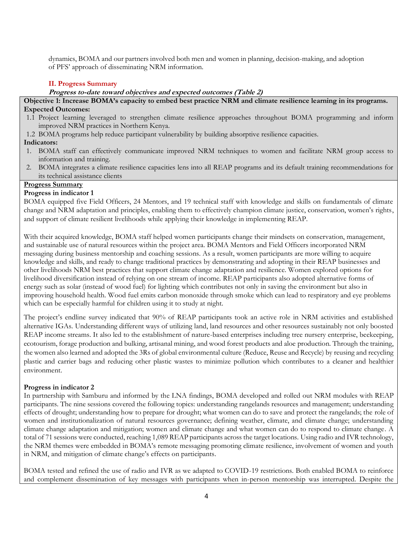dynamics, BOMA and our partners involved both men and women in planning, decision-making, and adoption of PFS' approach of disseminating NRM information.

# **II. Progress Summary**

#### **Progress to-date toward objectives and expected outcomes (Table 2)**

#### **Objective 1: Increase BOMA's capacity to embed best practice NRM and climate resilience learning in its programs. Expected Outcomes:**

- 1.1 Project learning leveraged to strengthen climate resilience approaches throughout BOMA programming and inform improved NRM practices in Northern Kenya.
- 1.2 BOMA programs help reduce participant vulnerability by building absorptive resilience capacities.

## **Indicators:**

- 1. BOMA staff can effectively communicate improved NRM techniques to women and facilitate NRM group access to information and training.
- 2. BOMA integrates a climate resilience capacities lens into all REAP programs and its default training recommendations for its technical assistance clients

#### **Progress Summary**

## **Progress in indicator 1**

BOMA equipped five Field Officers, 24 Mentors, and 19 technical staff with knowledge and skills on fundamentals of climate change and NRM adaptation and principles, enabling them to effectively champion climate justice, conservation, women's rights, and support of climate resilient livelihoods while applying their knowledge in implementing REAP.

With their acquired knowledge, BOMA staff helped women participants change their mindsets on conservation, management, and sustainable use of natural resources within the project area. BOMA Mentors and Field Officers incorporated NRM messaging during business mentorship and coaching sessions. As a result, women participants are more willing to acquire knowledge and skills, and ready to change traditional practices by demonstrating and adopting in their REAP businesses and other livelihoods NRM best practices that support climate change adaptation and resilience. Women explored options for livelihood diversification instead of relying on one stream of income. REAP participants also adopted alternative forms of energy such as solar (instead of wood fuel) for lighting which contributes not only in saving the environment but also in improving household health. Wood fuel emits carbon monoxide through smoke which can lead to respiratory and eye problems which can be especially harmful for children using it to study at night.

The project's endline survey indicated that 90% of REAP participants took an active role in NRM activities and established alternative IGAs. Understanding different ways of utilizing land, land resources and other resources sustainably not only boosted REAP income streams. It also led to the establishment of nature-based enterprises including tree nursery enterprise, beekeeping, ecotourism, forage production and bulking, artisanal mining, and wood forest products and aloe production. Through the training, the women also learned and adopted the 3Rs of global environmental culture (Reduce, Reuse and Recycle) by reusing and recycling plastic and carrier bags and reducing other plastic wastes to minimize pollution which contributes to a cleaner and healthier environment.

## **Progress in indicator 2**

In partnership with Samburu and informed by the LNA findings, BOMA developed and rolled out NRM modules with REAP participants. The nine sessions covered the following topics: understanding rangelands resources and management; understanding effects of drought; understanding how to prepare for drought; what women can do to save and protect the rangelands; the role of women and institutionalization of natural resources governance; defining weather, climate, and climate change; understanding climate change adaptation and mitigation; women and climate change and what women can do to respond to climate change. A total of 71 sessions were conducted, reaching 1,089 REAP participants across the target locations. Using radio and IVR technology, the NRM themes were embedded in BOMA's remote messaging promoting climate resilience, involvement of women and youth in NRM, and mitigation of climate change's effects on participants.

BOMA tested and refined the use of radio and IVR as we adapted to COVID-19 restrictions. Both enabled BOMA to reinforce and complement dissemination of key messages with participants when in-person mentorship was interrupted. Despite the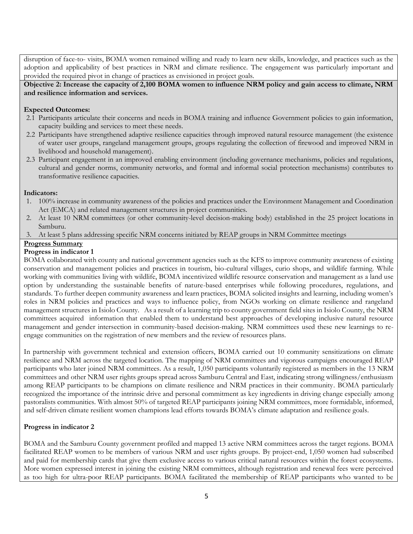disruption of face-to- visits, BOMA women remained willing and ready to learn new skills, knowledge, and practices such as the adoption and applicability of best practices in NRM and climate resilience. The engagement was particularly important and provided the required pivot in change of practices as envisioned in project goals.

**Objective 2: Increase the capacity of 2,100 BOMA women to influence NRM policy and gain access to climate, NRM and resilience information and services.**

# **Expected Outcomes:**

- 2.1 Participants articulate their concerns and needs in BOMA training and influence Government policies to gain information, capacity building and services to meet these needs.
- 2.2 Participants have strengthened adaptive resilience capacities through improved natural resource management (the existence of water user groups, rangeland management groups, groups regulating the collection of firewood and improved NRM in livelihood and household management).
- 2.3 Participant engagement in an improved enabling environment (including governance mechanisms, policies and regulations, cultural and gender norms, community networks, and formal and informal social protection mechanisms) contributes to transformative resilience capacities.

# **Indicators:**

- 1. 100% increase in community awareness of the policies and practices under the Environment Management and Coordination Act (EMCA) and related management structures in project communities.
- 2. At least 10 NRM committees (or other community-level decision-making body) established in the 25 project locations in Samburu.
- 3. At least 5 plans addressing specific NRM concerns initiated by REAP groups in NRM Committee meetings

# **Progress Summary**

# **Progress in indicator 1**

BOMA collaborated with county and national government agencies such as the KFS to improve community awareness of existing conservation and management policies and practices in tourism, bio-cultural villages, curio shops, and wildlife farming. While working with communities living with wildlife, BOMA incentivized wildlife resource conservation and management as a land use option by understanding the sustainable benefits of nature-based enterprises while following procedures, regulations, and standards. To further deepen community awareness and learn practices, BOMA solicited insights and learning, including women's roles in NRM policies and practices and ways to influence policy, from NGOs working on climate resilience and rangeland management structures in Isiolo County. As a result of a learning trip to county government field sites in Isiolo County, the NRM committees acquired information that enabled them to understand best approaches of developing inclusive natural resource management and gender intersection in community-based decision-making. NRM committees used these new learnings to reengage communities on the registration of new members and the review of resources plans.

In partnership with government technical and extension officers, BOMA carried out 10 community sensitizations on climate resilience and NRM across the targeted location. The mapping of NRM committees and vigorous campaigns encouraged REAP participants who later joined NRM committees. As a result, 1,050 participants voluntarily registered as members in the 13 NRM committees and other NRM user rights groups spread across Samburu Central and East, indicating strong willingness/enthusiasm among REAP participants to be champions on climate resilience and NRM practices in their community. BOMA particularly recognized the importance of the intrinsic drive and personal commitment as key ingredients in driving change especially among pastoralists communities. With almost 50% of targeted REAP participants joining NRM committees, more formidable, informed, and self-driven climate resilient women champions lead efforts towards BOMA's climate adaptation and resilience goals.

# **Progress in indicator 2**

BOMA and the Samburu County government profiled and mapped 13 active NRM committees across the target regions. BOMA facilitated REAP women to be members of various NRM and user rights groups. By project-end, 1,050 women had subscribed and paid for membership cards that give them exclusive access to various critical natural resources within the forest ecosystems. More women expressed interest in joining the existing NRM committees, although registration and renewal fees were perceived as too high for ultra-poor REAP participants. BOMA facilitated the membership of REAP participants who wanted to be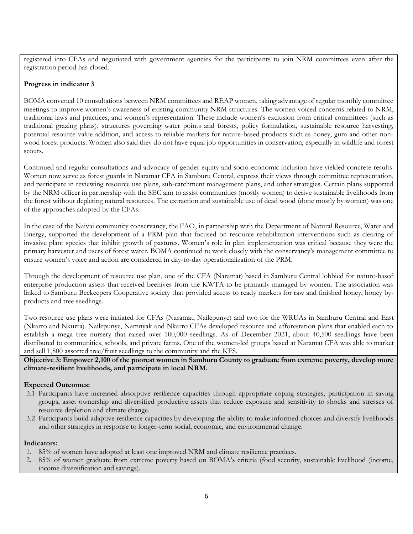registered into CFAs and negotiated with government agencies for the participants to join NRM committees even after the registration period has closed.

# **Progress in indicator 3**

BOMA convened 10 consultations between NRM committees and REAP women, taking advantage of regular monthly committee meetings to improve women's awareness of existing community NRM structures. The women voiced concerns related to NRM, traditional laws and practices, and women's representation. These include women's exclusion from critical committees (such as traditional grazing plans), structures governing water points and forests, policy formulation, sustainable resource harvesting, potential resource value addition, and access to reliable markets for nature-based products such as honey, gum and other nonwood forest products. Women also said they do not have equal job opportunities in conservation, especially in wildlife and forest scouts.

Continued and regular consultations and advocacy of gender equity and socio-economic inclusion have yielded concrete results. Women now serve as forest guards in Naramat CFA in Samburu Central, express their views through committee representation, and participate in reviewing resource use plans, sub-catchment management plans, and other strategies. Certain plans supported by the NRM officer in partnership with the SEC aim to assist communities (mostly women) to derive sustainable livelihoods from the forest without depleting natural resources. The extraction and sustainable use of dead wood (done mostly by women) was one of the approaches adopted by the CFAs.

In the case of the Naivai community conservancy, the FAO, in partnership with the Department of Natural Resource, Water and Energy, supported the development of a PRM plan that focused on resource rehabilitation interventions such as clearing of invasive plant species that inhibit growth of pastures. Women's role in plan implementation was critical because they were the primary harvester and users of forest water. BOMA continued to work closely with the conservancy's management committee to ensure women's voice and action are considered in day-to-day operationalization of the PRM.

Through the development of resource use plan, one of the CFA (Naramat) based in Samburu Central lobbied for nature-based enterprise production assets that received beehives from the KWTA to be primarily managed by women. The association was linked to Samburu Beekeepers Cooperative society that provided access to ready markets for raw and finished honey, honey byproducts and tree seedlings.

Two resource use plans were initiated for CFAs (Naramat, Nailepunye) and two for the WRUAs in Samburu Central and East (Nkarro and Nkurra). Nailepunye, Namnyak and Nkarro CFAs developed resource and afforestation plans that enabled each to establish a mega tree nursery that raised over 100,000 seedlings. As of December 2021, about 40,500 seedlings have been distributed to communities, schools, and private farms. One of the women-led groups based at Naramat CFA was able to market and sell 1,800 assorted tree/fruit seedlings to the community and the KFS.

**Objective 3: Empower 2,100 of the poorest women in Samburu County to graduate from extreme poverty, develop more climate-resilient livelihoods, and participate in local NRM.**

## **Expected Outcomes:**

- 3.1 Participants have increased absorptive resilience capacities through appropriate coping strategies, participation in saving groups, asset ownership and diversified productive assets that reduce exposure and sensitivity to shocks and stresses of resource depletion and climate change.
- 3.2 Participants build adaptive resilience capacities by developing the ability to make informed choices and diversify livelihoods and other strategies in response to longer-term social, economic, and environmental change.

## **Indicators:**

- 1. 85% of women have adopted at least one improved NRM and climate resilience practices.
- 2. 85% of women graduate from extreme poverty based on BOMA's criteria (food security, sustainable livelihood (income, income diversification and savings).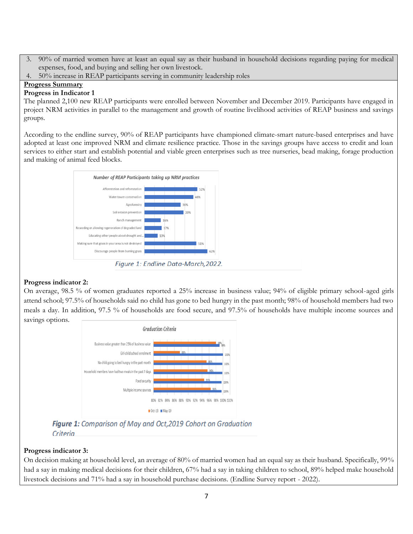- 3. 90% of married women have at least an equal say as their husband in household decisions regarding paying for medical expenses, food, and buying and selling her own livestock.
- 4. 50% increase in REAP participants serving in community leadership roles

# **Progress Summary**

# **Progress in Indicator 1**

The planned 2,100 new REAP participants were enrolled between November and December 2019. Participants have engaged in project NRM activities in parallel to the management and growth of routine livelihood activities of REAP business and savings groups.

According to the endline survey, 90% of REAP participants have championed climate-smart nature-based enterprises and have adopted at least one improved NRM and climate resilience practice. Those in the savings groups have access to credit and loan services to either start and establish potential and viable green enterprises such as tree nurseries, bead making, forage production and making of animal feed blocks.



Figure 1: Endline Data-March, 2022.

# **Progress indicator 2:**

On average, 98.5 % of women graduates reported a 25% increase in business value; 94% of eligible primary school-aged girls attend school; 97.5% of households said no child has gone to bed hungry in the past month; 98% of household members had two meals a day. In addition, 97.5 % of households are food secure, and 97.5% of households have multiple income sources and savings options.



Figure 1: Comparison of May and Oct, 2019 Cohort on Graduation Criteria

# **Progress indicator 3:**

On decision making at household level, an average of 80% of married women had an equal say as their husband. Specifically, 99% had a say in making medical decisions for their children, 67% had a say in taking children to school, 89% helped make household livestock decisions and 71% had a say in household purchase decisions. (Endline Survey report - 2022).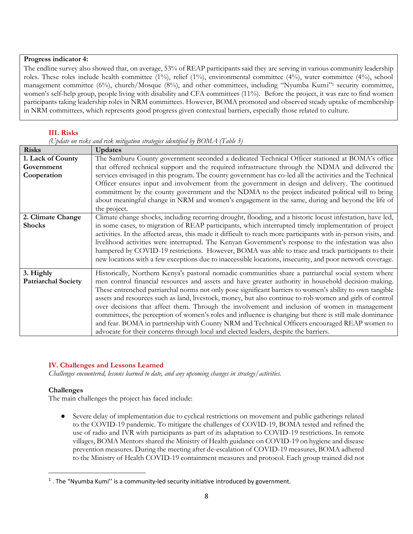#### **Progress indicator 4:**

The endline survey also showed that, on average, 53% of REAP participants said they are serving in various community leadership roles. These roles include health committee (1%), relief (1%), environmental committee (4%), water committee (4%), school management committee (6%), church/Mosque (8%), and other committees, including "Nyumba Kumi"<sup>1</sup> security committee, women's self-help group, people living with disability and CFA committees (11%). Before the project, it was rare to find women participants taking leadership roles in NRM committees. However, BOMA promoted and observed steady uptake of membership in NRM committees, which represents good progress given contextual barriers, especially those related to culture.

#### **III. Risks**

|  |  |  | (Update on risks and risk mitigation strategies identified by $BOMA$ (Table 3) |  |  |  |
|--|--|--|--------------------------------------------------------------------------------|--|--|--|
|  |  |  |                                                                                |  |  |  |

| <b>Risks</b>                            | <b>Updates</b>                                                                                                                                                                                                       |
|-----------------------------------------|----------------------------------------------------------------------------------------------------------------------------------------------------------------------------------------------------------------------|
| 1. Lack of County                       | The Samburu County government seconded a dedicated Technical Officer stationed at BOMA's office                                                                                                                      |
| Government                              | that offered technical support and the required infrastructure through the NDMA and delivered the                                                                                                                    |
| Cooperation                             | services envisaged in this program. The county government has co-led all the activities and the Technical                                                                                                            |
|                                         | Officer ensures input and involvement from the government in design and delivery. The continued                                                                                                                      |
|                                         | commitment by the county government and the NDMA to the project indicated political will to bring                                                                                                                    |
|                                         | about meaningful change in NRM and women's engagement in the same, during and beyond the life of                                                                                                                     |
|                                         | the project.                                                                                                                                                                                                         |
| 2. Climate Change                       | Climate change shocks, including recurring drought, flooding, and a historic locust infestation, have led,                                                                                                           |
| <b>Shocks</b>                           | in some cases, to migration of REAP participants, which interrupted timely implementation of project                                                                                                                 |
|                                         | activities. In the affected areas, this made it difficult to reach more participants with in-person visits, and                                                                                                      |
|                                         | livelihood activities were interrupted. The Kenyan Government's response to the infestation was also                                                                                                                 |
|                                         | hampered by COVID-19 restrictions. However, BOMA was able to trace and track participants to their                                                                                                                   |
|                                         | new locations with a few exceptions due to inaccessible locations, insecurity, and poor network coverage.                                                                                                            |
|                                         | Historically, Northern Kenya's pastoral nomadic communities share a patriarchal social system where                                                                                                                  |
| 3. Highly<br><b>Patriarchal Society</b> |                                                                                                                                                                                                                      |
|                                         | men control financial resources and assets and have greater authority in household decision-making.                                                                                                                  |
|                                         | These entrenched patriarchal norms not only pose significant barriers to women's ability to own tangible<br>assets and resources such as land, livestock, money, but also continue to rob women and girls of control |
|                                         |                                                                                                                                                                                                                      |
|                                         | over decisions that affect them. Through the involvement and inclusion of women in management                                                                                                                        |
|                                         | committees, the perception of women's roles and influence is changing but there is still male dominance                                                                                                              |
|                                         | and fear. BOMA in partnership with County NRM and Technical Officers encouraged REAP women to                                                                                                                        |
|                                         | advocate for their concerns through local and elected leaders, despite the barriers.                                                                                                                                 |

## **IV. Challenges and Lessons Learned**

*Challenges encountered, lessons learned to date, and any upcoming changes in strategy/activities.*

#### **Challenges**

The main challenges the project has faced include:

Severe delay of implementation due to cyclical restrictions on movement and public gatherings related to the COVID-19 pandemic. To mitigate the challenges of COVID-19, BOMA tested and refined the use of radio and IVR with participants as part of its adaptation to COVID-19 restrictions. In remote villages, BOMA Mentors shared the Ministry of Health guidance on COVID-19 on hygiene and disease prevention measures. During the meeting after de-escalation of COVID-19 measures, BOMA adhered to the Ministry of Health COVID-19 containment measures and protocol. Each group trained did not

 $<sup>1</sup>$  . The "Nyumba Kumi" is a community-led security initiative introduced by government.</sup>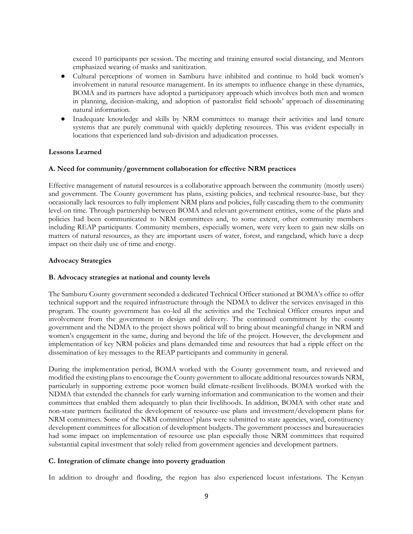exceed 10 participants per session. The meeting and training ensured social distancing, and Mentors emphasized wearing of masks and sanitization.

- Cultural perceptions of women in Samburu have inhibited and continue to hold back women's involvement in natural resource management. In its attempts to influence change in these dynamics, BOMA and its partners have adopted a participatory approach which involves both men and women in planning, decision-making, and adoption of pastoralist field schools' approach of disseminating natural information.
- Inadequate knowledge and skills by NRM committees to manage their activities and land tenure systems that are purely communal with quickly depleting resources. This was evident especially in locations that experienced land sub-division and adjudication processes.

#### **Lessons Learned**

#### **A. Need for community/government collaboration for effective NRM practices**

Effective management of natural resources is a collaborative approach between the community (mostly users) and government. The County government has plans, existing policies, and technical resource-base, but they occasionally lack resources to fully implement NRM plans and policies, fully cascading them to the community level on time. Through partnership between BOMA and relevant government entities, some of the plans and policies had been communicated to NRM committees and, to some extent, other community members including REAP participants. Community members, especially women, were very keen to gain new skills on matters of natural resources, as they are important users of water, forest, and rangeland, which have a deep impact on their daily use of time and energy.

#### **Advocacy Strategies**

#### **B. Advocacy strategies at national and county levels**

The Samburu County government seconded a dedicated Technical Officer stationed at BOMA's office to offer technical support and the required infrastructure through the NDMA to deliver the services envisaged in this program. The county government has co-led all the activities and the Technical Officer ensures input and involvement from the government in design and delivery. The continued commitment by the county government and the NDMA to the project shows political will to bring about meaningful change in NRM and women's engagement in the same, during and beyond the life of the project. However, the development and implementation of key NRM policies and plans demanded time and resources that had a ripple effect on the dissemination of key messages to the REAP participants and community in general.

During the implementation period, BOMA worked with the County government team, and reviewed and modified the existing plans to encourage the County government to allocate additional resources towards NRM, particularly in supporting extreme poor women build climate-resilient livelihoods. BOMA worked with the NDMA that extended the channels for early warning information and communication to the women and their committees that enabled them adequately to plan their livelihoods. In addition, BOMA with other state and non-state partners facilitated the development of resource-use plans and investment/development plans for NRM committees. Some of the NRM committees' plans were submitted to state agencies, ward, constituency development committees for allocation of development budgets. The government processes and bureaucracies had some impact on implementation of resource use plan especially those NRM committees that required substantial capital investment that solely relied from government agencies and development partners.

#### **C. Integration of climate change into poverty graduation**

In addition to drought and flooding, the region has also experienced locust infestations. The Kenyan